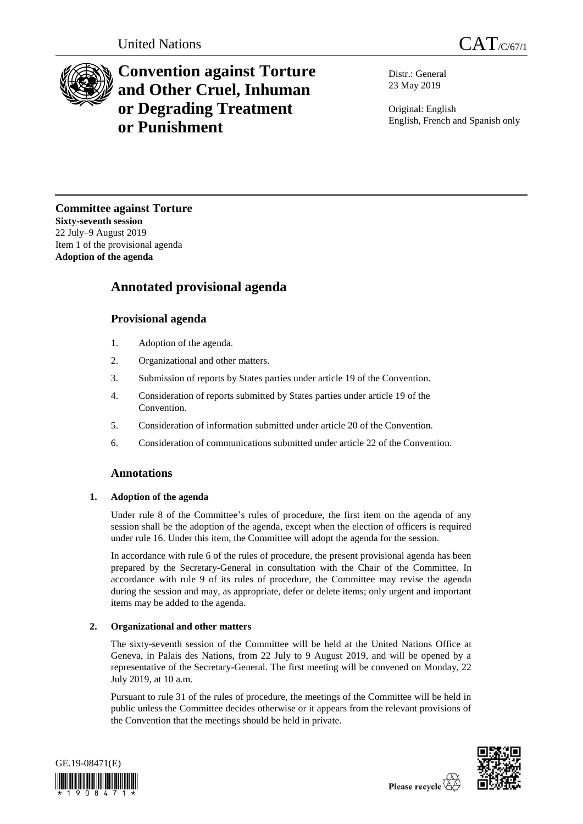

# **Convention against Torture and Other Cruel, Inhuman or Degrading Treatment or Punishment**

Distr.: General 23 May 2019

Original: English English, French and Spanish only

**Committee against Torture Sixty-seventh session** 22 July–9 August 2019 Item 1 of the provisional agenda **Adoption of the agenda**

## **Annotated provisional agenda**

## **Provisional agenda**

- 1. Adoption of the agenda.
- 2. Organizational and other matters.
- 3. Submission of reports by States parties under article 19 of the Convention.
- 4. Consideration of reports submitted by States parties under article 19 of the Convention.
- 5. Consideration of information submitted under article 20 of the Convention.
- 6. Consideration of communications submitted under article 22 of the Convention.

## **Annotations**

#### **1. Adoption of the agenda**

Under rule 8 of the Committee's rules of procedure, the first item on the agenda of any session shall be the adoption of the agenda, except when the election of officers is required under rule 16. Under this item, the Committee will adopt the agenda for the session.

In accordance with rule 6 of the rules of procedure, the present provisional agenda has been prepared by the Secretary-General in consultation with the Chair of the Committee. In accordance with rule 9 of its rules of procedure, the Committee may revise the agenda during the session and may, as appropriate, defer or delete items; only urgent and important items may be added to the agenda.

### **2. Organizational and other matters**

The sixty-seventh session of the Committee will be held at the United Nations Office at Geneva, in Palais des Nations, from 22 July to 9 August 2019, and will be opened by a representative of the Secretary-General. The first meeting will be convened on Monday, 22 July 2019, at 10 a.m.

Pursuant to rule 31 of the rules of procedure, the meetings of the Committee will be held in public unless the Committee decides otherwise or it appears from the relevant provisions of the Convention that the meetings should be held in private.



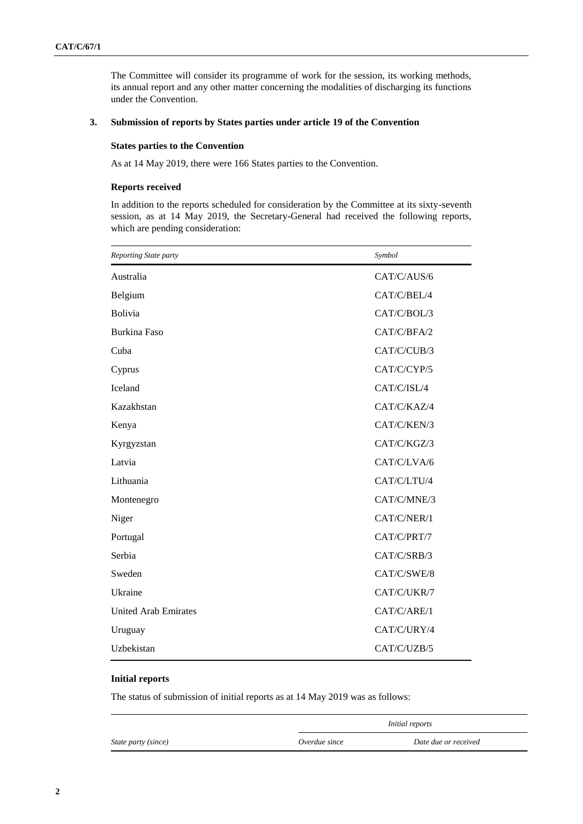The Committee will consider its programme of work for the session, its working methods, its annual report and any other matter concerning the modalities of discharging its functions under the Convention.

#### **3. Submission of reports by States parties under article 19 of the Convention**

#### **States parties to the Convention**

As at 14 May 2019, there were 166 States parties to the Convention.

#### **Reports received**

In addition to the reports scheduled for consideration by the Committee at its sixty-seventh session, as at 14 May 2019, the Secretary-General had received the following reports, which are pending consideration:

| Reporting State party       | Symbol      |
|-----------------------------|-------------|
| Australia                   | CAT/C/AUS/6 |
| Belgium                     | CAT/C/BEL/4 |
| <b>Bolivia</b>              | CAT/C/BOL/3 |
| <b>Burkina Faso</b>         | CAT/C/BFA/2 |
| Cuba                        | CAT/C/CUB/3 |
| Cyprus                      | CAT/C/CYP/5 |
| <b>Iceland</b>              | CAT/C/ISL/4 |
| Kazakhstan                  | CAT/C/KAZ/4 |
| Kenya                       | CAT/C/KEN/3 |
| Kyrgyzstan                  | CAT/C/KGZ/3 |
| Latvia                      | CAT/C/LVA/6 |
| Lithuania                   | CAT/C/LTU/4 |
| Montenegro                  | CAT/C/MNE/3 |
| Niger                       | CAT/C/NER/1 |
| Portugal                    | CAT/C/PRT/7 |
| Serbia                      | CAT/C/SRB/3 |
| Sweden                      | CAT/C/SWE/8 |
| Ukraine                     | CAT/C/UKR/7 |
| <b>United Arab Emirates</b> | CAT/C/ARE/1 |
| Uruguay                     | CAT/C/URY/4 |
| Uzbekistan                  | CAT/C/UZB/5 |

#### **Initial reports**

The status of submission of initial reports as at 14 May 2019 was as follows:

|                     | <i>Initial reports</i> |                      |
|---------------------|------------------------|----------------------|
| State party (since) | Overdue since          | Date due or received |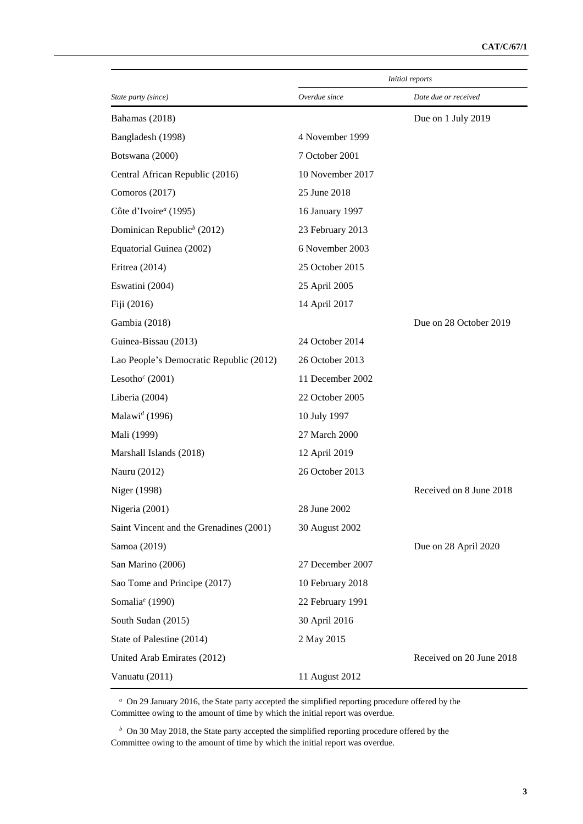|                                         | Initial reports  |                          |
|-----------------------------------------|------------------|--------------------------|
| State party (since)                     | Overdue since    | Date due or received     |
| Bahamas (2018)                          |                  | Due on 1 July 2019       |
| Bangladesh (1998)                       | 4 November 1999  |                          |
| Botswana (2000)                         | 7 October 2001   |                          |
| Central African Republic (2016)         | 10 November 2017 |                          |
| Comoros (2017)                          | 25 June 2018     |                          |
| Côte d'Ivoire <sup>a</sup> (1995)       | 16 January 1997  |                          |
| Dominican Republic <sup>b</sup> (2012)  | 23 February 2013 |                          |
| Equatorial Guinea (2002)                | 6 November 2003  |                          |
| Eritrea $(2014)$                        | 25 October 2015  |                          |
| Eswatini (2004)                         | 25 April 2005    |                          |
| Fiji (2016)                             | 14 April 2017    |                          |
| Gambia (2018)                           |                  | Due on 28 October 2019   |
| Guinea-Bissau (2013)                    | 24 October 2014  |                          |
| Lao People's Democratic Republic (2012) | 26 October 2013  |                          |
| Lesotho <sup>c</sup> (2001)             | 11 December 2002 |                          |
| Liberia (2004)                          | 22 October 2005  |                          |
| Malawi <sup>d</sup> (1996)              | 10 July 1997     |                          |
| Mali (1999)                             | 27 March 2000    |                          |
| Marshall Islands (2018)                 | 12 April 2019    |                          |
| Nauru (2012)                            | 26 October 2013  |                          |
| Niger (1998)                            |                  | Received on 8 June 2018  |
| Nigeria (2001)                          | 28 June 2002     |                          |
| Saint Vincent and the Grenadines (2001) | 30 August 2002   |                          |
| Samoa (2019)                            |                  | Due on 28 April 2020     |
| San Marino (2006)                       | 27 December 2007 |                          |
| Sao Tome and Principe (2017)            | 10 February 2018 |                          |
| Somalia <sup>e</sup> (1990)             | 22 February 1991 |                          |
| South Sudan (2015)                      | 30 April 2016    |                          |
| State of Palestine (2014)               | 2 May 2015       |                          |
| United Arab Emirates (2012)             |                  | Received on 20 June 2018 |
| Vanuatu (2011)                          | 11 August 2012   |                          |

*<sup>a</sup>* On 29 January 2016, the State party accepted the simplified reporting procedure offered by the Committee owing to the amount of time by which the initial report was overdue.

*<sup>b</sup>* On 30 May 2018, the State party accepted the simplified reporting procedure offered by the Committee owing to the amount of time by which the initial report was overdue.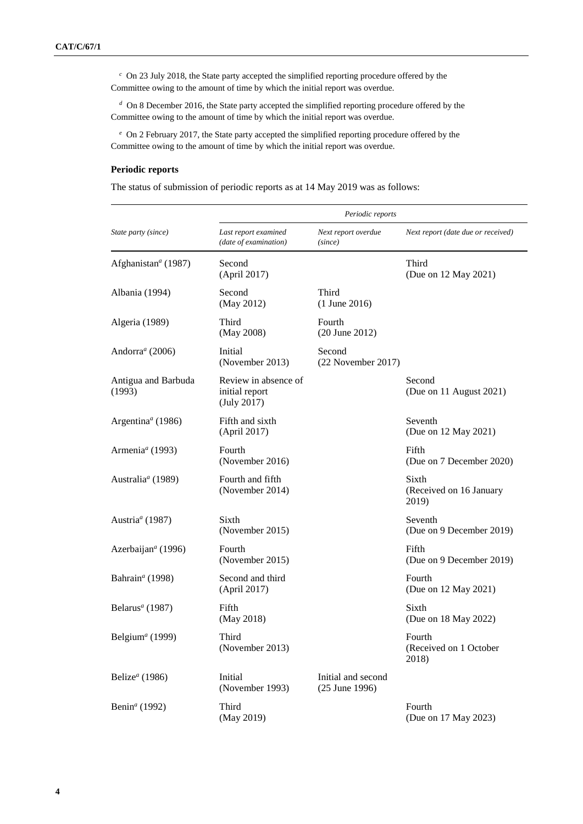*<sup>c</sup>* On 23 July 2018, the State party accepted the simplified reporting procedure offered by the Committee owing to the amount of time by which the initial report was overdue.

*<sup>d</sup>* On 8 December 2016, the State party accepted the simplified reporting procedure offered by the Committee owing to the amount of time by which the initial report was overdue.

*<sup>e</sup>* On 2 February 2017, the State party accepted the simplified reporting procedure offered by the Committee owing to the amount of time by which the initial report was overdue.

#### **Periodic reports**

The status of submission of periodic reports as at 14 May 2019 was as follows:

|                                            |                                                       | Periodic reports                     |                                           |  |
|--------------------------------------------|-------------------------------------------------------|--------------------------------------|-------------------------------------------|--|
| State party (since)                        | Last report examined<br>(date of examination)         | Next report overdue<br>(since)       | Next report (date due or received)        |  |
| Afghanistan <sup>a</sup> (1987)            | Second<br>(April 2017)                                |                                      | Third<br>(Due on 12 May 2021)             |  |
| Albania (1994)                             | Second<br>(May 2012)                                  | Third<br>$(1$ June 2016)             |                                           |  |
| Algeria (1989)                             | Third<br>(May 2008)                                   | Fourth<br>$(20$ June $2012)$         |                                           |  |
| Andorra <sup>a</sup> (2006)                | Initial<br>(November 2013)                            | Second<br>(22 November 2017)         |                                           |  |
| Antigua and Barbuda<br>(1993)              | Review in absence of<br>initial report<br>(July 2017) |                                      | Second<br>(Due on 11 August 2021)         |  |
| Argentina <sup><math>a</math></sup> (1986) | Fifth and sixth<br>(April 2017)                       |                                      | Seventh<br>(Due on 12 May 2021)           |  |
| Armenia <sup>a</sup> (1993)                | Fourth<br>(November 2016)                             |                                      | Fifth<br>(Due on 7 December 2020)         |  |
| Australia <sup>a</sup> (1989)              | Fourth and fifth<br>(November 2014)                   |                                      | Sixth<br>(Received on 16 January<br>2019) |  |
| Austria <sup>a</sup> (1987)                | Sixth<br>(November 2015)                              |                                      | Seventh<br>(Due on 9 December 2019)       |  |
| Azerbaijan <sup>a</sup> (1996)             | Fourth<br>(November 2015)                             |                                      | Fifth<br>(Due on 9 December 2019)         |  |
| Bahrain <sup>a</sup> (1998)                | Second and third<br>(April 2017)                      |                                      | Fourth<br>(Due on 12 May 2021)            |  |
| Belarus <sup>a</sup> (1987)                | Fifth<br>(May 2018)                                   |                                      | Sixth<br>(Due on 18 May 2022)             |  |
| Belgium <sup><i>a</i></sup> (1999)         | Third<br>(November 2013)                              |                                      | Fourth<br>(Received on 1 October<br>2018) |  |
| Belize <sup><math>a</math></sup> (1986)    | Initial<br>(November 1993)                            | Initial and second<br>(25 June 1996) |                                           |  |
| Benin <sup>a</sup> (1992)                  | Third<br>(May 2019)                                   |                                      | Fourth<br>(Due on 17 May 2023)            |  |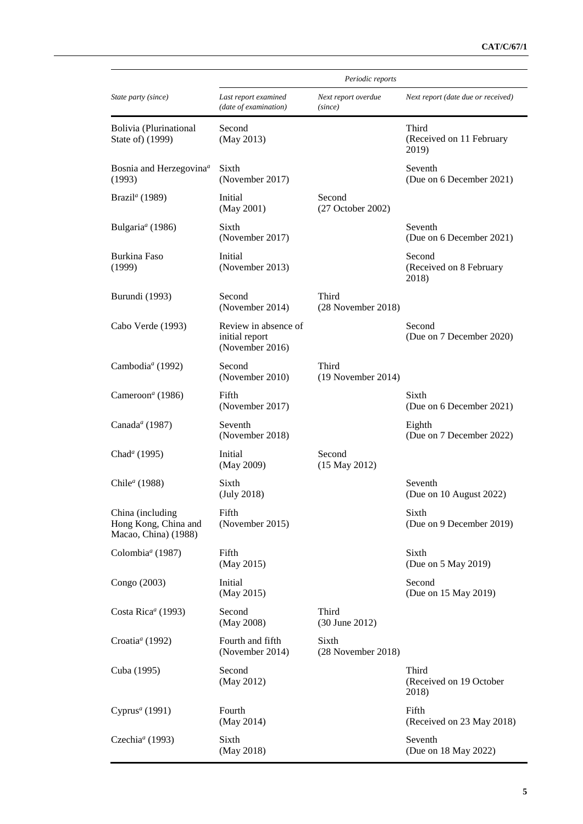|                                                                  | Periodic reports                                          |                                |                                            |
|------------------------------------------------------------------|-----------------------------------------------------------|--------------------------------|--------------------------------------------|
| State party (since)                                              | Last report examined<br>(date of examination)             | Next report overdue<br>(since) | Next report (date due or received)         |
| Bolivia (Plurinational<br>State of) (1999)                       | Second<br>(May 2013)                                      |                                | Third<br>(Received on 11 February<br>2019) |
| Bosnia and Herzegovina <sup>a</sup><br>(1993)                    | Sixth<br>(November 2017)                                  |                                | Seventh<br>(Due on 6 December 2021)        |
| Brazil <sup>a</sup> (1989)                                       | Initial<br>(May 2001)                                     | Second<br>(27 October 2002)    |                                            |
| Bulgaria <sup>a</sup> (1986)                                     | Sixth<br>(November 2017)                                  |                                | Seventh<br>(Due on 6 December 2021)        |
| Burkina Faso<br>(1999)                                           | Initial<br>(November 2013)                                |                                | Second<br>(Received on 8 February<br>2018) |
| Burundi (1993)                                                   | Second<br>(November 2014)                                 | Third<br>(28 November 2018)    |                                            |
| Cabo Verde (1993)                                                | Review in absence of<br>initial report<br>(November 2016) |                                | Second<br>(Due on 7 December 2020)         |
| Cambodia <sup>a</sup> (1992)                                     | Second<br>(November 2010)                                 | Third<br>$(19$ November 2014)  |                                            |
| Cameroon <sup>a</sup> (1986)                                     | Fifth<br>(November 2017)                                  |                                | Sixth<br>(Due on 6 December 2021)          |
| Canada <sup>a</sup> (1987)                                       | Seventh<br>(November 2018)                                |                                | Eighth<br>(Due on 7 December 2022)         |
| Chad <sup>a</sup> (1995)                                         | Initial<br>(May 2009)                                     | Second<br>$(15$ May 2012)      |                                            |
| Chile <sup>a</sup> (1988)                                        | Sixth<br>(July 2018)                                      |                                | Seventh<br>(Due on 10 August 2022)         |
| China (including<br>Hong Kong, China and<br>Macao, China) (1988) | Fifth<br>(November 2015)                                  |                                | Sixth<br>(Due on 9 December 2019)          |
| Colombia <sup>a</sup> (1987)                                     | Fifth<br>(May 2015)                                       |                                | Sixth<br>(Due on 5 May 2019)               |
| Congo (2003)                                                     | Initial<br>(May 2015)                                     |                                | Second<br>(Due on 15 May 2019)             |
| Costa Rica <sup>a</sup> (1993)                                   | Second<br>(May 2008)                                      | Third<br>(30 June 2012)        |                                            |
| Croatia <sup>a</sup> (1992)                                      | Fourth and fifth<br>(November 2014)                       | Sixth<br>(28 November 2018)    |                                            |
| Cuba (1995)                                                      | Second<br>(May 2012)                                      |                                | Third<br>(Received on 19 October<br>2018)  |
| Cyprus <sup>a</sup> (1991)                                       | Fourth<br>(May 2014)                                      |                                | Fifth<br>(Received on 23 May 2018)         |
| Czechia <sup>a</sup> (1993)                                      | Sixth<br>(May 2018)                                       |                                | Seventh<br>(Due on 18 May 2022)            |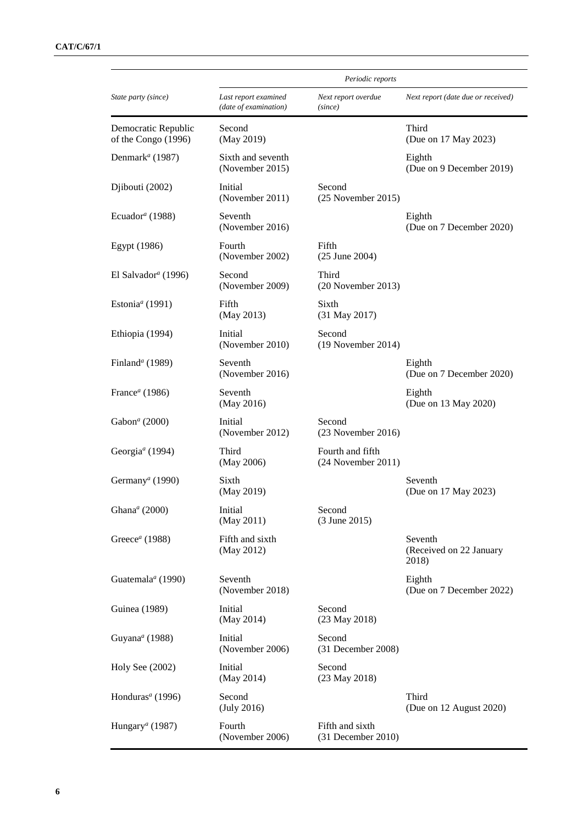|                                            | Periodic reports                              |                                         |                                             |  |
|--------------------------------------------|-----------------------------------------------|-----------------------------------------|---------------------------------------------|--|
| State party (since)                        | Last report examined<br>(date of examination) | Next report overdue<br>(since)          | Next report (date due or received)          |  |
| Democratic Republic<br>of the Congo (1996) | Second<br>(May 2019)                          |                                         | Third<br>(Due on 17 May 2023)               |  |
| Denmark <sup>a</sup> (1987)                | Sixth and seventh<br>(November 2015)          |                                         | Eighth<br>(Due on 9 December 2019)          |  |
| Djibouti (2002)                            | Initial<br>(November 2011)                    | Second<br>$(25$ November $2015)$        |                                             |  |
| Ecuador <sup>a</sup> (1988)                | Seventh<br>(November 2016)                    |                                         | Eighth<br>(Due on 7 December 2020)          |  |
| Egypt (1986)                               | Fourth<br>(November 2002)                     | Fifth<br>$(25$ June 2004)               |                                             |  |
| El Salvador <sup>a</sup> (1996)            | Second<br>(November 2009)                     | Third<br>$(20$ November 2013)           |                                             |  |
| Estonia <sup>a</sup> (1991)                | Fifth<br>(May 2013)                           | Sixth<br>(31 May 2017)                  |                                             |  |
| Ethiopia (1994)                            | Initial<br>(November 2010)                    | Second<br>$(19$ November 2014)          |                                             |  |
| Finland <sup>a</sup> (1989)                | Seventh<br>(November 2016)                    |                                         | Eighth<br>(Due on 7 December 2020)          |  |
| France <sup><math>a</math></sup> (1986)    | Seventh<br>(May 2016)                         |                                         | Eighth<br>(Due on 13 May 2020)              |  |
| Gabon <sup>a</sup> (2000)                  | Initial<br>(November 2012)                    | Second<br>$(23$ November 2016)          |                                             |  |
| Georgia <sup>a</sup> (1994)                | Third<br>(May 2006)                           | Fourth and fifth<br>(24 November 2011)  |                                             |  |
| Germany <sup>a</sup> (1990)                | Sixth<br>(May 2019)                           |                                         | Seventh<br>(Due on 17 May 2023)             |  |
| Ghana <sup>a</sup> (2000)                  | Initial<br>(May 2011)                         | Second<br>(3 June 2015)                 |                                             |  |
| Greece <sup><math>a</math></sup> (1988)    | Fifth and sixth<br>(May 2012)                 |                                         | Seventh<br>(Received on 22 January<br>2018) |  |
| Guatemala <sup>a</sup> (1990)              | Seventh<br>(November 2018)                    |                                         | Eighth<br>(Due on 7 December 2022)          |  |
| Guinea (1989)                              | Initial<br>(May 2014)                         | Second<br>(23 May 2018)                 |                                             |  |
| Guyana <sup>a</sup> (1988)                 | Initial<br>(November 2006)                    | Second<br>(31 December 2008)            |                                             |  |
| Holy See (2002)                            | Initial<br>(May 2014)                         | Second<br>(23 May 2018)                 |                                             |  |
| Honduras <sup>a</sup> (1996)               | Second<br>(July 2016)                         |                                         | Third<br>(Due on 12 August 2020)            |  |
| Hungary <sup>a</sup> (1987)                | Fourth<br>(November 2006)                     | Fifth and sixth<br>$(31$ December 2010) |                                             |  |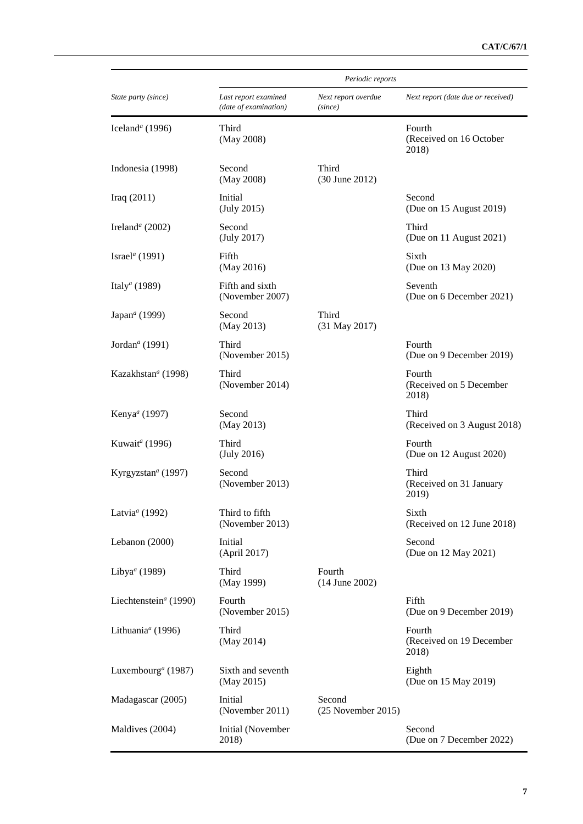|                                       | Periodic reports                              |                                |                                             |
|---------------------------------------|-----------------------------------------------|--------------------------------|---------------------------------------------|
| State party (since)                   | Last report examined<br>(date of examination) | Next report overdue<br>(since) | Next report (date due or received)          |
| Iceland <sup>a</sup> (1996)           | Third<br>(May 2008)                           |                                | Fourth<br>(Received on 16 October<br>2018)  |
| Indonesia (1998)                      | Second<br>(May 2008)                          | Third<br>(30 June 2012)        |                                             |
| Iraq $(2011)$                         | Initial<br>(July 2015)                        |                                | Second<br>(Due on 15 August 2019)           |
| Ireland <sup>a</sup> (2002)           | Second<br>(July 2017)                         |                                | Third<br>(Due on 11 August 2021)            |
| Israel <sup>a</sup> (1991)            | Fifth<br>(May 2016)                           |                                | Sixth<br>(Due on 13 May 2020)               |
| Italy <sup>a</sup> (1989)             | Fifth and sixth<br>(November 2007)            |                                | Seventh<br>(Due on 6 December 2021)         |
| Japan <sup>a</sup> (1999)             | Second<br>(May 2013)                          | Third<br>(31 May 2017)         |                                             |
| Jordan <sup>a</sup> (1991)            | Third<br>(November 2015)                      |                                | Fourth<br>(Due on 9 December 2019)          |
| Kazakhstan <sup><i>a</i></sup> (1998) | Third<br>(November 2014)                      |                                | Fourth<br>(Received on 5 December<br>2018)  |
| Kenya <sup>a</sup> (1997)             | Second<br>(May 2013)                          |                                | Third<br>(Received on 3 August 2018)        |
| Kuwait <sup>a</sup> (1996)            | Third<br>(July 2016)                          |                                | Fourth<br>(Due on 12 August 2020)           |
| Kyrgyzstan <sup>a</sup> (1997)        | Second<br>(November 2013)                     |                                | Third<br>(Received on 31 January<br>2019)   |
| Latvia <sup>a</sup> (1992)            | Third to fifth<br>(November 2013)             |                                | Sixth<br>(Received on 12 June 2018)         |
| Lebanon (2000)                        | Initial<br>(April 2017)                       |                                | Second<br>(Due on 12 May 2021)              |
| Libya <sup>a</sup> (1989)             | Third<br>(May 1999)                           | Fourth<br>$(14$ June 2002)     |                                             |
| Liechtenstein <sup>a</sup> (1990)     | Fourth<br>(November 2015)                     |                                | Fifth<br>(Due on 9 December 2019)           |
| Lithuania <sup>a</sup> (1996)         | Third<br>(May 2014)                           |                                | Fourth<br>(Received on 19 December<br>2018) |
| Luxembourg <sup>a</sup> (1987)        | Sixth and seventh<br>(May 2015)               |                                | Eighth<br>(Due on 15 May 2019)              |
| Madagascar (2005)                     | Initial<br>(November 2011)                    | Second<br>$(25$ November 2015) |                                             |
| Maldives (2004)                       | Initial (November<br>2018)                    |                                | Second<br>(Due on 7 December 2022)          |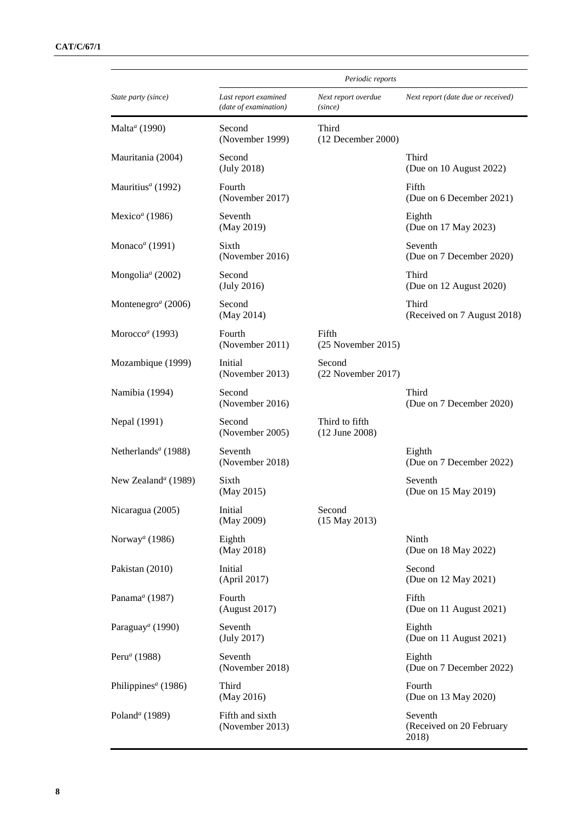|                                             | Periodic reports                              |                                  |                                              |
|---------------------------------------------|-----------------------------------------------|----------------------------------|----------------------------------------------|
| State party (since)                         | Last report examined<br>(date of examination) | Next report overdue<br>(since)   | Next report (date due or received)           |
| Malta <sup>a</sup> (1990)                   | Second<br>(November 1999)                     | Third<br>$(12$ December 2000)    |                                              |
| Mauritania (2004)                           | Second<br>(July 2018)                         |                                  | Third<br>(Due on 10 August 2022)             |
| Mauritius <sup>a</sup> (1992)               | Fourth<br>(November 2017)                     |                                  | Fifth<br>(Due on 6 December 2021)            |
| Mexico <sup>a</sup> (1986)                  | Seventh<br>(May 2019)                         |                                  | Eighth<br>(Due on 17 May 2023)               |
| Monaco <sup>a</sup> (1991)                  | Sixth<br>(November 2016)                      |                                  | Seventh<br>(Due on 7 December 2020)          |
| Mongolia <sup><math>a</math></sup> (2002)   | Second<br>(July 2016)                         |                                  | Third<br>(Due on 12 August 2020)             |
| Montenegro <sup><math>a</math></sup> (2006) | Second<br>(May 2014)                          |                                  | Third<br>(Received on 7 August 2018)         |
| Morocco <sup>a</sup> (1993)                 | Fourth<br>(November 2011)                     | Fifth<br>$(25$ November 2015)    |                                              |
| Mozambique (1999)                           | Initial<br>(November 2013)                    | Second<br>(22 November 2017)     |                                              |
| Namibia (1994)                              | Second<br>(November 2016)                     |                                  | Third<br>(Due on 7 December 2020)            |
| Nepal (1991)                                | Second<br>(November 2005)                     | Third to fifth<br>(12 June 2008) |                                              |
| Netherlands <sup>a</sup> (1988)             | Seventh<br>(November 2018)                    |                                  | Eighth<br>(Due on 7 December 2022)           |
| New Zealand <sup>a</sup> (1989)             | Sixth<br>(May 2015)                           |                                  | Seventh<br>(Due on 15 May 2019)              |
| Nicaragua (2005)                            | Initial<br>(May 2009)                         | Second<br>$(15$ May 2013)        |                                              |
| Norway <sup>a</sup> (1986)                  | Eighth<br>(May 2018)                          |                                  | Ninth<br>(Due on 18 May 2022)                |
| Pakistan (2010)                             | Initial<br>(April 2017)                       |                                  | Second<br>(Due on 12 May 2021)               |
| Panama <sup>a</sup> (1987)                  | Fourth<br>(August 2017)                       |                                  | Fifth<br>(Due on 11 August 2021)             |
| Paraguay <sup>a</sup> (1990)                | Seventh<br>(July 2017)                        |                                  | Eighth<br>(Due on 11 August 2021)            |
| Peru <sup>a</sup> (1988)                    | Seventh<br>(November 2018)                    |                                  | Eighth<br>(Due on 7 December 2022)           |
| Philippines <sup>a</sup> (1986)             | Third<br>(May 2016)                           |                                  | Fourth<br>(Due on 13 May 2020)               |
| Poland <sup>a</sup> (1989)                  | Fifth and sixth<br>(November 2013)            |                                  | Seventh<br>(Received on 20 February<br>2018) |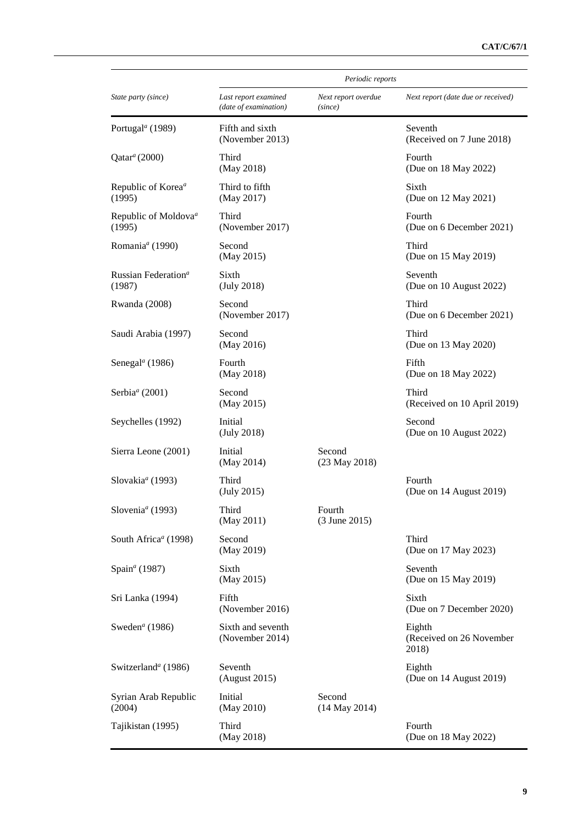|                                            | Periodic reports                              |                                |                                             |
|--------------------------------------------|-----------------------------------------------|--------------------------------|---------------------------------------------|
| State party (since)                        | Last report examined<br>(date of examination) | Next report overdue<br>(since) | Next report (date due or received)          |
| Portugal <sup>a</sup> (1989)               | Fifth and sixth<br>(November 2013)            |                                | Seventh<br>(Received on 7 June 2018)        |
| $Qatar^a(2000)$                            | Third<br>(May 2018)                           |                                | Fourth<br>(Due on 18 May 2022)              |
| Republic of Korea <sup>a</sup><br>(1995)   | Third to fifth<br>(May 2017)                  |                                | Sixth<br>(Due on 12 May 2021)               |
| Republic of Moldova <sup>a</sup><br>(1995) | Third<br>(November 2017)                      |                                | Fourth<br>(Due on 6 December 2021)          |
| Romania <sup>a</sup> (1990)                | Second<br>(May 2015)                          |                                | Third<br>(Due on 15 May 2019)               |
| Russian Federation <sup>a</sup><br>(1987)  | Sixth<br>(July 2018)                          |                                | Seventh<br>(Due on 10 August 2022)          |
| Rwanda (2008)                              | Second<br>(November 2017)                     |                                | Third<br>(Due on 6 December 2021)           |
| Saudi Arabia (1997)                        | Second<br>(May 2016)                          |                                | Third<br>(Due on 13 May 2020)               |
| Senegal <sup><math>a</math></sup> (1986)   | Fourth<br>(May 2018)                          |                                | Fifth<br>(Due on 18 May 2022)               |
| Serbia <sup>a</sup> (2001)                 | Second<br>(May 2015)                          |                                | Third<br>(Received on 10 April 2019)        |
| Seychelles (1992)                          | Initial<br>(July 2018)                        |                                | Second<br>(Due on 10 August 2022)           |
| Sierra Leone (2001)                        | Initial<br>(May 2014)                         | Second<br>(23 May 2018)        |                                             |
| Slovakia <sup>a</sup> (1993)               | Third<br>(July 2015)                          |                                | Fourth<br>(Due on 14 August 2019)           |
| Slovenia <sup>a</sup> (1993)               | Third<br>(May 2011)                           | Fourth<br>(3 June 2015)        |                                             |
| South Africa <sup>a</sup> (1998)           | Second<br>(May 2019)                          |                                | Third<br>(Due on 17 May 2023)               |
| Spain <sup>a</sup> (1987)                  | Sixth<br>(May 2015)                           |                                | Seventh<br>(Due on 15 May 2019)             |
| Sri Lanka (1994)                           | Fifth<br>(November 2016)                      |                                | Sixth<br>(Due on 7 December 2020)           |
| Sweden <sup>a</sup> (1986)                 | Sixth and seventh<br>(November 2014)          |                                | Eighth<br>(Received on 26 November<br>2018) |
| Switzerland <sup>a</sup> (1986)            | Seventh<br>(August 2015)                      |                                | Eighth<br>(Due on 14 August 2019)           |
| Syrian Arab Republic<br>(2004)             | Initial<br>(May 2010)                         | Second<br>$(14$ May 2014)      |                                             |
| Tajikistan (1995)                          | Third<br>(May 2018)                           |                                | Fourth<br>(Due on 18 May 2022)              |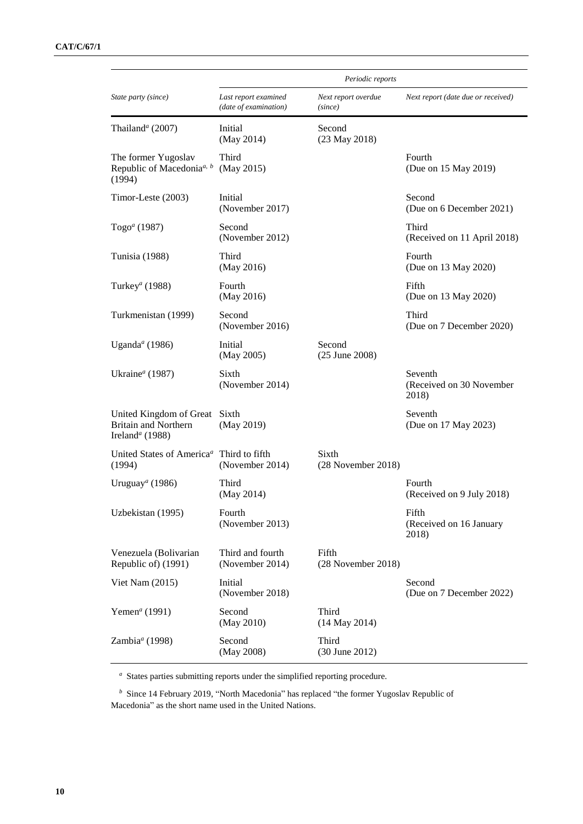|                                                                                                      | Periodic reports                              |                                 |                                              |
|------------------------------------------------------------------------------------------------------|-----------------------------------------------|---------------------------------|----------------------------------------------|
| State party (since)                                                                                  | Last report examined<br>(date of examination) | Next report overdue<br>(since)  | Next report (date due or received)           |
| Thailand <sup>a</sup> (2007)                                                                         | Initial<br>(May 2014)                         | Second<br>$(23$ May $2018)$     |                                              |
| The former Yugoslav<br>Republic of Macedonia <sup><i>a</i>, <math>\frac{b}{a}</math></sup><br>(1994) | Third<br>(May 2015)                           |                                 | Fourth<br>(Due on 15 May 2019)               |
| Timor-Leste (2003)                                                                                   | Initial<br>(November 2017)                    |                                 | Second<br>(Due on 6 December 2021)           |
| Togo <sup><i>a</i></sup> (1987)                                                                      | Second<br>(November 2012)                     |                                 | Third<br>(Received on 11 April 2018)         |
| Tunisia (1988)                                                                                       | Third<br>(May 2016)                           |                                 | Fourth<br>(Due on 13 May 2020)               |
| Turkey <sup>a</sup> (1988)                                                                           | Fourth<br>(May 2016)                          |                                 | Fifth<br>(Due on 13 May 2020)                |
| Turkmenistan (1999)                                                                                  | Second<br>(November 2016)                     |                                 | Third<br>(Due on 7 December 2020)            |
| Uganda <sup>a</sup> (1986)                                                                           | Initial<br>(May 2005)                         | Second<br>(25 June 2008)        |                                              |
| Ukraine <sup>a</sup> (1987)                                                                          | Sixth<br>(November 2014)                      |                                 | Seventh<br>(Received on 30 November<br>2018) |
| United Kingdom of Great<br><b>Britain and Northern</b><br>Ireland <sup>a</sup> (1988)                | Sixth<br>(May 2019)                           |                                 | Seventh<br>(Due on 17 May 2023)              |
| United States of America <sup>a</sup> Third to fifth<br>(1994)                                       | (November 2014)                               | Sixth<br>$(28$ November $2018)$ |                                              |
| Uruguay <sup><math>a</math></sup> (1986)                                                             | Third<br>(May 2014)                           |                                 | Fourth<br>(Received on 9 July 2018)          |
| Uzbekistan (1995)                                                                                    | Fourth<br>(November 2013)                     |                                 | Fifth<br>(Received on 16 January<br>2018)    |
| Venezuela (Bolivarian<br>Republic of) (1991)                                                         | Third and fourth<br>(November 2014)           | Fifth<br>(28 November 2018)     |                                              |
| Viet Nam $(2015)$                                                                                    | Initial<br>(November 2018)                    |                                 | Second<br>(Due on 7 December 2022)           |
| Yemen <sup>a</sup> (1991)                                                                            | Second<br>(May 2010)                          | Third<br>$(14$ May 2014)        |                                              |
| Zambia <sup>a</sup> (1998)                                                                           | Second<br>(May 2008)                          | Third<br>(30 June 2012)         |                                              |

*<sup>a</sup>* States parties submitting reports under the simplified reporting procedure.

*<sup>b</sup>* Since 14 February 2019, "North Macedonia" has replaced "the former Yugoslav Republic of Macedonia" as the short name used in the United Nations.